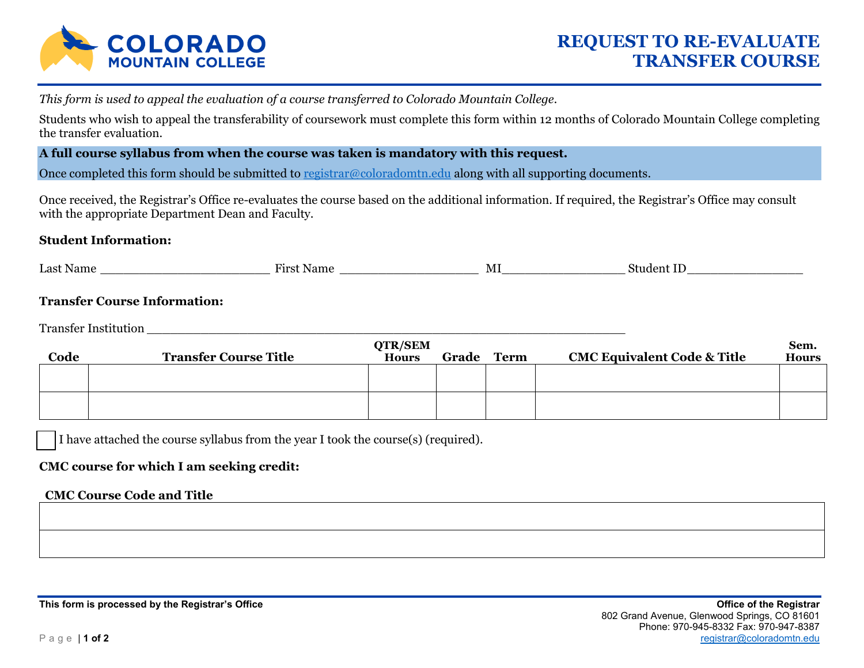

*This form is used to appeal the evaluation of a course transferred to Colorado Mountain College.* 

Students who wish to appeal the transferability of coursework must complete this form within 12 months of Colorado Mountain College completing the transfer evaluation.

### **A full course syllabus from when the course was taken is mandatory with this request.**

Once completed this form should be submitted to registrar@coloradomtn.edu along with all supporting documents.

Once received, the Registrar's Office re-evaluates the course based on the additional information. If required, the Registrar's Office may consult with the appropriate Department Dean and Faculty.

## **Student Information:**

| Last N<br>√ame | LIMO <sup>-</sup><br>Nome | M<br>. | י -<br>ווור |
|----------------|---------------------------|--------|-------------|
|                |                           |        |             |

# **Transfer Course Information:**

Transfer Institution

| Code | <b>Transfer Course Title</b> | <b>QTR/SEM</b><br><b>Hours</b> | Grade Term | <b>CMC Equivalent Code &amp; Title</b> | Sem.<br><b>Hours</b> |
|------|------------------------------|--------------------------------|------------|----------------------------------------|----------------------|
|      |                              |                                |            |                                        |                      |
|      |                              |                                |            |                                        |                      |

I have attached the course syllabus from the year I took the course(s) (required).

## **CMC course for which I am seeking credit:**

#### **CMC Course Code and Title**

This form is processed by the Registrar's Office **Office Office of the Registrar Office of the Registrar**